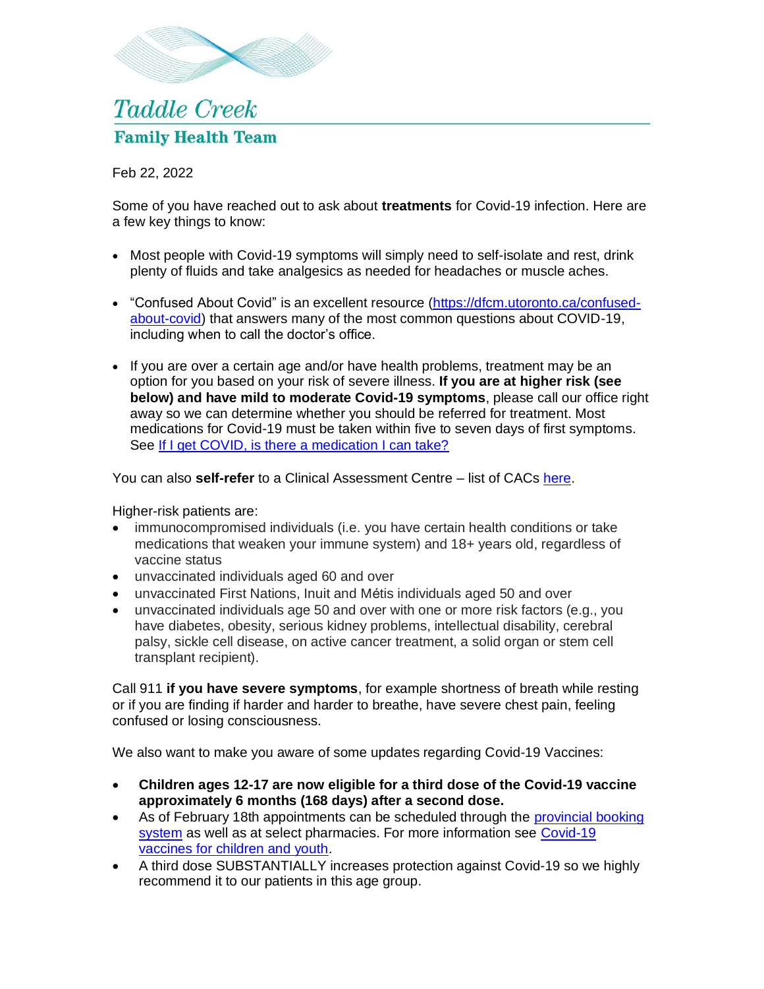

## **Taddle Creek Family Health Team**

Feb 22, 2022

Some of you have reached out to ask about **treatments** for Covid-19 infection. Here are a few key things to know:

- Most people with Covid-19 symptoms will simply need to self-isolate and rest, drink plenty of fluids and take analgesics as needed for headaches or muscle aches.
- "Confused About Covid" is an excellent resource [\(https://dfcm.utoronto.ca/confused](https://dfcm.utoronto.ca/confused-about-covid)[about-covid\)](https://dfcm.utoronto.ca/confused-about-covid) that answers many of the most common questions about COVID-19, including when to call the doctor's office.
- If you are over a certain age and/or have health problems, treatment may be an option for you based on your risk of severe illness. **If you are at higher risk (see below) and have mild to moderate Covid-19 symptoms**, please call our office right away so we can determine whether you should be referred for treatment. Most medications for Covid-19 must be taken within five to seven days of first symptoms. See [If I get COVID, is there a medication I can take?](https://dfcm.utoronto.ca/sites/default/files/assets/files/Q11_COVID_medication.pdf)

You can also **self-refer** to a Clinical Assessment Centre – list of CACs [here.](https://covid-19.ontario.ca/assessment-centre-locations)

Higher-risk patients are:

- immunocompromised individuals (i.e. you have certain health conditions or take medications that weaken your immune system) and 18+ years old, regardless of vaccine status
- unvaccinated individuals aged 60 and over
- unvaccinated First Nations, Inuit and Métis individuals aged 50 and over
- unvaccinated individuals age 50 and over with one or more risk factors (e.g., you have diabetes, obesity, serious kidney problems, intellectual disability, cerebral palsy, sickle cell disease, on active cancer treatment, a solid organ or stem cell transplant recipient).

Call 911 **if you have severe symptoms**, for example shortness of breath while resting or if you are finding if harder and harder to breathe, have severe chest pain, feeling confused or losing consciousness.

We also want to make you aware of some updates regarding Covid-19 Vaccines:

- **Children ages 12-17 are now eligible for a third dose of the Covid-19 vaccine approximately 6 months (168 days) after a second dose.**
- As of February 18th appointments can be scheduled through the provincial booking [system](https://covid-19.ontario.ca/book-vaccine/) as well as at select pharmacies. For more information see [Covid-19](https://covid-19.ontario.ca/covid-19-vaccines-children-and-youth)  [vaccines for children and youth.](https://covid-19.ontario.ca/covid-19-vaccines-children-and-youth)
- A third dose SUBSTANTIALLY increases protection against Covid-19 so we highly recommend it to our patients in this age group.